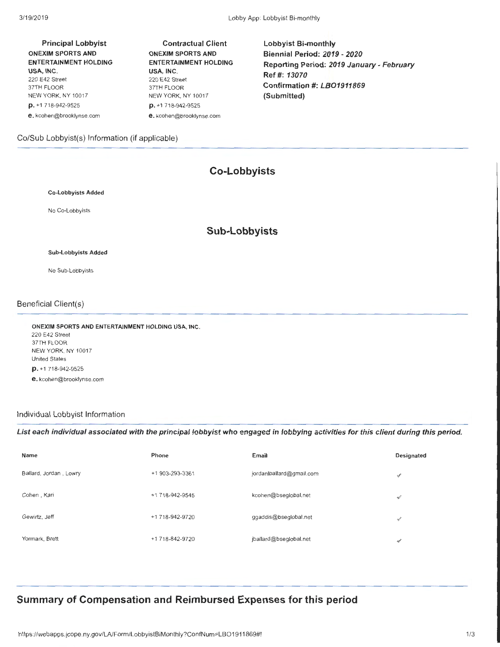| <b>Principal Lobbyist</b>    |
|------------------------------|
| <b>ONEXIM SPORTS AND</b>     |
| <b>ENTERTAINMENT HOLDING</b> |
| USA. INC.                    |
| 220 E42 Street               |
| 37TH FLOOR                   |
| NEW YORK, NY 10017           |
| $D. +1718-942-9525$          |
| e.kcohen@brooklynse.com      |

Contractual Client ONEXIM SPORTS AND ENTERTAINMENT HOLDING USA, INC. 220 E42 Street 37TH FLOOR NEW YORK, NY 10017 p. +1 718-942-9525 e. kcohen@brooklynse.com

lobbyist Bi-monthly Biennial Period: 2019- 2020 Reporting Period: 2019 January- February Ref#: 13070 Confirmation #: LBO1911869 (Submitted)

## Co/Sub Lobbyist(s) Information (if applicable)

# **Co-Lobbyists**

### Co-Lobbyists Added

No Co-Lobbyists

## **Sub-Lobbyists**

### Sub-Lobbyists Added

No Sub-Lobbyists

### Beneficial Client(s)

ONEXIM SPORTS AND ENTERTAINMENT HOLDING USA, INC. 220 E42 Street 37TH FLOOR NEW YORK, NY 10017 United States p. +1 718-942-9525 e. kcohen@brooklynse.com

## Individual Lobbyist Information

List each individual associated with the principal lobbyist who engaged in lobbying activities for this client during this period.

| Name                   | Phone           | Email                    | Designated    |
|------------------------|-----------------|--------------------------|---------------|
| Ballard, Jordan, Lowry | +1 903-293-3361 | jordanlballard@gmail.com | v             |
| Cohen, Kari            | +1 718-942-9545 | kcohen@bseglobal.net     | √             |
| Gewirtz, Jeff          | +1 718-942-9720 | ggaddis@bseglobal.net    | v             |
| Yormark, Brett         | +1 718-842-9720 | jballard@bseglobal.net   | $\mathcal{L}$ |

## **Summary of Compensation and Reimbursed Expenses for this period**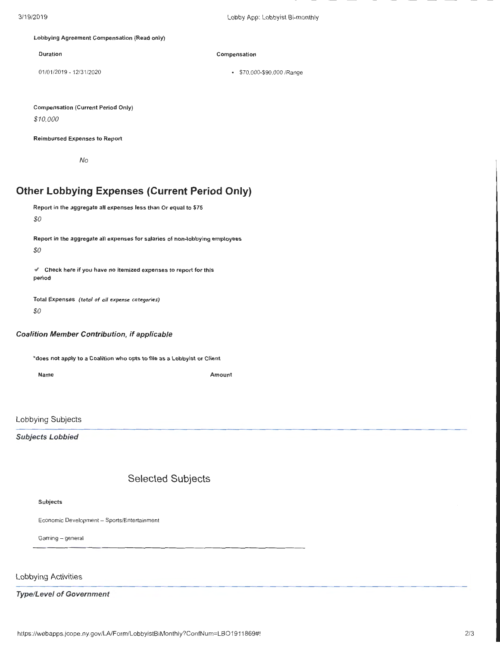### Lobbying Agreement Compensation (Read only)

Duration **Compensation** 

01 /01 /2019- 12/31/2020 • \$70,000-\$90,000 /Range

Compensation (Current Period Only)

*\$10,000* 

Reimbursed Expenses to Report

No

## **Other Lobbying Expenses (Current Period Only)**

Report in the aggregate all expenses less than Or equal to \$75 *\$0* 

Report in the aggregate all expenses for salaries of non-lobbying employees

*\$0* 

*<!.,* Check here if you have no itemized expenses to report for this period

Total Expenses *(total of all* expense *categories) \$0* 

### Coalition Member Contribution, if applicable

\*does not apply to a Coalition who opts to file as a Lobbyist or Client

Name Amount

Lobbying Subjects

Subjects Lobbied

## Selected Subjects

Subjects

Economic Development- Sports/Entertainment

Gaming - general

Lobbying Activities

Type/Level of Government